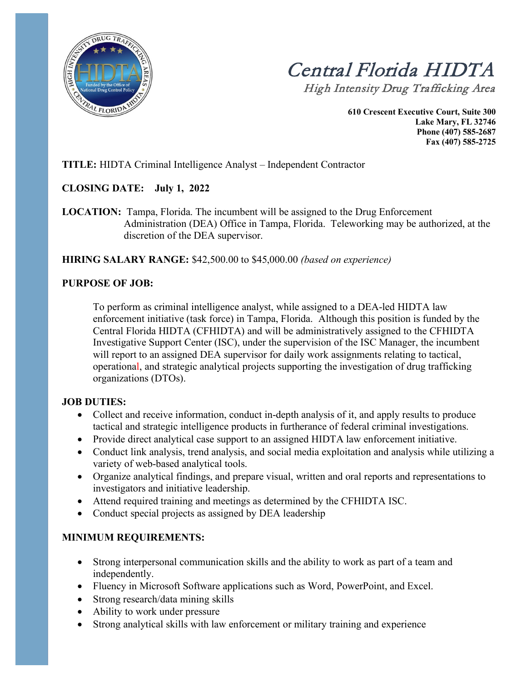

 Central Florida HIDTAHigh Intensity Drug Trafficking Area

**610 Crescent Executive Court, Suite 300 Lake Mary, FL 32746 Phone (407) 585-2687 Fax (407) 585-2725**

### **TITLE:** HIDTA Criminal Intelligence Analyst – Independent Contractor

#### **CLOSING DATE: July 1, 2022**

**LOCATION:** Tampa, Florida. The incumbent will be assigned to the Drug Enforcement Administration (DEA) Office in Tampa, Florida. Teleworking may be authorized, at the discretion of the DEA supervisor.

**HIRING SALARY RANGE:** \$42,500.00 to \$45,000.00 *(based on experience)*

#### **PURPOSE OF JOB:**

To perform as criminal intelligence analyst, while assigned to a DEA-led HIDTA law enforcement initiative (task force) in Tampa, Florida. Although this position is funded by the Central Florida HIDTA (CFHIDTA) and will be administratively assigned to the CFHIDTA Investigative Support Center (ISC), under the supervision of the ISC Manager, the incumbent will report to an assigned DEA supervisor for daily work assignments relating to tactical, operational, and strategic analytical projects supporting the investigation of drug trafficking organizations (DTOs).

#### **JOB DUTIES:**

- Collect and receive information, conduct in-depth analysis of it, and apply results to produce tactical and strategic intelligence products in furtherance of federal criminal investigations.
- Provide direct analytical case support to an assigned HIDTA law enforcement initiative.
- Conduct link analysis, trend analysis, and social media exploitation and analysis while utilizing a variety of web-based analytical tools.
- Organize analytical findings, and prepare visual, written and oral reports and representations to investigators and initiative leadership.
- Attend required training and meetings as determined by the CFHIDTA ISC.
- Conduct special projects as assigned by DEA leadership

## **MINIMUM REQUIREMENTS:**

- Strong interpersonal communication skills and the ability to work as part of a team and independently.
- Fluency in Microsoft Software applications such as Word, PowerPoint, and Excel.
- Strong research/data mining skills
- Ability to work under pressure
- Strong analytical skills with law enforcement or military training and experience